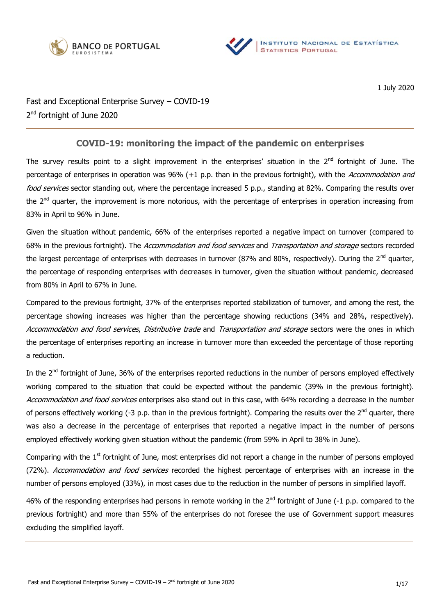



1 July 2020

Fast and Exceptional Enterprise Survey – COVID-19 2<sup>nd</sup> fortnight of June 2020

# **COVID-19: monitoring the impact of the pandemic on enterprises**

The survey results point to a slight improvement in the enterprises' situation in the  $2^{nd}$  fortnight of June. The percentage of enterprises in operation was 96% (+1 p.p. than in the previous fortnight), with the Accommodation and food services sector standing out, where the percentage increased 5 p.p., standing at 82%. Comparing the results over the 2<sup>nd</sup> quarter, the improvement is more notorious, with the percentage of enterprises in operation increasing from 83% in April to 96% in June.

Given the situation without pandemic, 66% of the enterprises reported a negative impact on turnover (compared to 68% in the previous fortnight). The Accommodation and food services and Transportation and storage sectors recorded the largest percentage of enterprises with decreases in turnover (87% and 80%, respectively). During the  $2^{nd}$  quarter, the percentage of responding enterprises with decreases in turnover, given the situation without pandemic, decreased from 80% in April to 67% in June.

Compared to the previous fortnight, 37% of the enterprises reported stabilization of turnover, and among the rest, the percentage showing increases was higher than the percentage showing reductions (34% and 28%, respectively). Accommodation and food services, Distributive trade and Transportation and storage sectors were the ones in which the percentage of enterprises reporting an increase in turnover more than exceeded the percentage of those reporting a reduction.

In the 2<sup>nd</sup> fortnight of June, 36% of the enterprises reported reductions in the number of persons employed effectively working compared to the situation that could be expected without the pandemic (39% in the previous fortnight). Accommodation and food services enterprises also stand out in this case, with 64% recording a decrease in the number of persons effectively working (-3 p.p. than in the previous fortnight). Comparing the results over the  $2^{nd}$  quarter, there was also a decrease in the percentage of enterprises that reported a negative impact in the number of persons employed effectively working given situation without the pandemic (from 59% in April to 38% in June).

Comparing with the 1<sup>st</sup> fortnight of June, most enterprises did not report a change in the number of persons employed (72%). Accommodation and food services recorded the highest percentage of enterprises with an increase in the number of persons employed (33%), in most cases due to the reduction in the number of persons in simplified layoff.

46% of the responding enterprises had persons in remote working in the  $2^{nd}$  fortnight of June (-1 p.p. compared to the previous fortnight) and more than 55% of the enterprises do not foresee the use of Government support measures excluding the simplified layoff.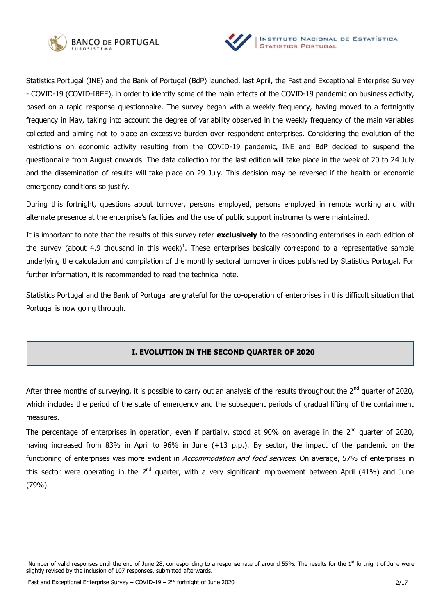



Statistics Portugal (INE) and the Bank of Portugal (BdP) launched, last April, the Fast and Exceptional Enterprise Survey - COVID-19 (COVID-IREE), in order to identify some of the main effects of the COVID-19 pandemic on business activity, based on a rapid response questionnaire. The survey began with a weekly frequency, having moved to a fortnightly frequency in May, taking into account the degree of variability observed in the weekly frequency of the main variables collected and aiming not to place an excessive burden over respondent enterprises. Considering the evolution of the restrictions on economic activity resulting from the COVID-19 pandemic, INE and BdP decided to suspend the questionnaire from August onwards. The data collection for the last edition will take place in the week of 20 to 24 July and the dissemination of results will take place on 29 July. This decision may be reversed if the health or economic emergency conditions so justify.

During this fortnight, questions about turnover, persons employed, persons employed in remote working and with alternate presence at the enterprise's facilities and the use of public support instruments were maintained.

It is important to note that the results of this survey refer **exclusively** to the responding enterprises in each edition of the survey (about 4.9 thousand in this week)<sup>1</sup>. These enterprises basically correspond to a representative sample underlying the calculation and compilation of the monthly sectoral turnover indices published by Statistics Portugal. For further information, it is recommended to read the technical note.

Statistics Portugal and the Bank of Portugal are grateful for the co-operation of enterprises in this difficult situation that Portugal is now going through.

# **I. EVOLUTION IN THE SECOND QUARTER OF 2020**

After three months of surveying, it is possible to carry out an analysis of the results throughout the  $2^{nd}$  quarter of 2020, which includes the period of the state of emergency and the subsequent periods of gradual lifting of the containment measures.

The percentage of enterprises in operation, even if partially, stood at 90% on average in the  $2^{nd}$  quarter of 2020, having increased from 83% in April to 96% in June (+13 p.p.). By sector, the impact of the pandemic on the functioning of enterprises was more evident in Accommodation and food services. On average, 57% of enterprises in this sector were operating in the  $2^{nd}$  quarter, with a very significant improvement between April (41%) and June (79%).

<sup>&</sup>lt;sup>1</sup>Number of valid responses until the end of June 28, corresponding to a response rate of around 55%. The results for the 1<sup>st</sup> fortnight of June were slightly revised by the inclusion of 107 responses, submitted afterwards.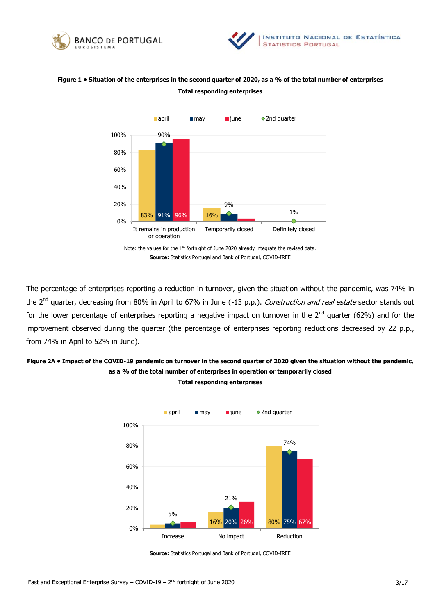



# **Figure 1 • Situation of the enterprises in the second quarter of 2020, as a % of the total number of enterprises Total responding enterprises**



The percentage of enterprises reporting a reduction in turnover, given the situation without the pandemic, was 74% in the 2<sup>nd</sup> quarter, decreasing from 80% in April to 67% in June (-13 p.p.). Construction and real estate sector stands out for the lower percentage of enterprises reporting a negative impact on turnover in the  $2^{nd}$  quarter (62%) and for the improvement observed during the quarter (the percentage of enterprises reporting reductions decreased by 22 p.p., from 74% in April to 52% in June).

# **Figure 2A • Impact of the COVID-19 pandemic on turnover in the second quarter of 2020 given the situation without the pandemic, as a % of the total number of enterprises in operation or temporarily closed Total responding enterprises**



**Source:** Statistics Portugal and Bank of Portugal, COVID-IREE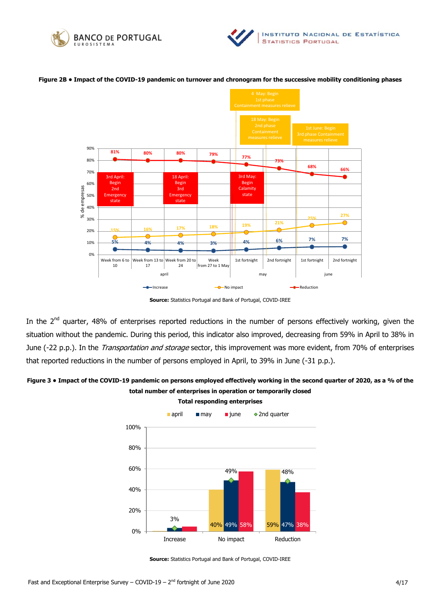





#### **Figure 2B • Impact of the COVID-19 pandemic on turnover and chronogram for the successive mobility conditioning phases**

**Source:** Statistics Portugal and Bank of Portugal, COVID-IREE

In the 2<sup>nd</sup> quarter, 48% of enterprises reported reductions in the number of persons effectively working, given the situation without the pandemic. During this period, this indicator also improved, decreasing from 59% in April to 38% in June (-22 p.p.). In the *Transportation and storage* sector, this improvement was more evident, from 70% of enterprises that reported reductions in the number of persons employed in April, to 39% in June (-31 p.p.).

# **Figure 3 • Impact of the COVID-19 pandemic on persons employed effectively working in the second quarter of 2020, as a % of the total number of enterprises in operation or temporarily closed**



**Source:** Statistics Portugal and Bank of Portugal, COVID-IREE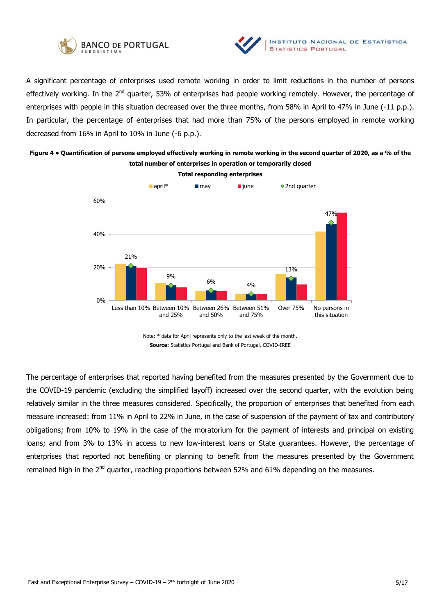



A significant percentage of enterprises used remote working in order to limit reductions in the number of persons effectively working. In the 2<sup>nd</sup> quarter, 53% of enterprises had people working remotely. However, the percentage of enterprises with people in this situation decreased over the three months, from 58% in April to 47% in June (-11 p.p.). In particular, the percentage of enterprises that had more than 75% of the persons employed in remote working decreased from 16% in April to 10% in June (-6 p.p.).

# **Figure 4 • Quantification of persons employed effectively working in remote working in the second quarter of 2020, as a % of the total number of enterprises in operation or temporarily closed**



Note: \* data for April represents only to the last week of the month. **Source:** Statistics Portugal and Bank of Portugal, COVID-IREE

The percentage of enterprises that reported having benefited from the measures presented by the Government due to the COVID-19 pandemic (excluding the simplified layoff) increased over the second quarter, with the evolution being relatively similar in the three measures considered. Specifically, the proportion of enterprises that benefited from each measure increased: from 11% in April to 22% in June, in the case of suspension of the payment of tax and contributory obligations; from 10% to 19% in the case of the moratorium for the payment of interests and principal on existing loans; and from 3% to 13% in access to new low-interest loans or State guarantees. However, the percentage of enterprises that reported not benefiting or planning to benefit from the measures presented by the Government remained high in the 2<sup>nd</sup> quarter, reaching proportions between 52% and 61% depending on the measures.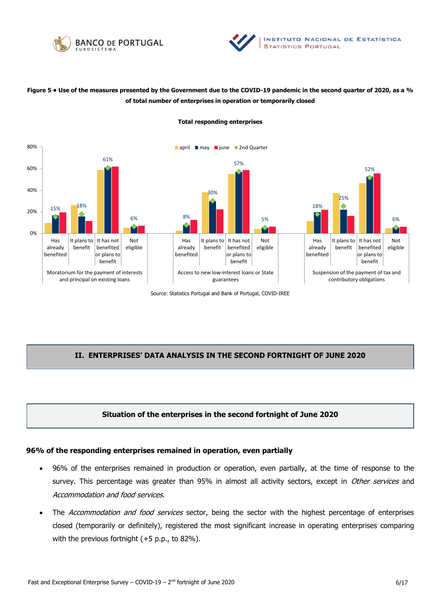



# **Figure 5 • Use of the measures presented by the Government due to the COVID-19 pandemic in the second quarter of 2020, as a % of total number of enterprises in operation or temporarily closed**



#### **Total responding enterprises**

Source: Statistics Portugal and Bank of Portugal, COVID-IREE

# **II. ENTERPRISES' DATA ANALYSIS IN THE SECOND FORTNIGHT OF JUNE 2020**

## **Situation of the enterprises in the second fortnight of June 2020**

## **96% of the responding enterprises remained in operation, even partially**

- 96% of the enterprises remained in production or operation, even partially, at the time of response to the survey. This percentage was greater than 95% in almost all activity sectors, except in Other services and Accommodation and food services.
- The Accommodation and food services sector, being the sector with the highest percentage of enterprises closed (temporarily or definitely), registered the most significant increase in operating enterprises comparing with the previous fortnight (+5 p.p., to 82%).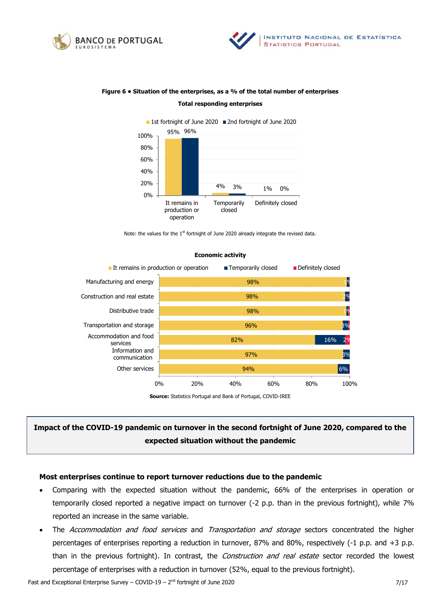





# **Figure 6 • Situation of the enterprises, as a % of the total number of enterprises Total responding enterprises**

Note: the values for the 1<sup>st</sup> fortnight of June 2020 already integrate the revised data.



#### **Economic activity**

**Source:** Statistics Portugal and Bank of Portugal, COVID-IREE

# **Impact of the COVID-19 pandemic on turnover in the second fortnight of June 2020, compared to the expected situation without the pandemic**

## **Most enterprises continue to report turnover reductions due to the pandemic**

- Comparing with the expected situation without the pandemic, 66% of the enterprises in operation or temporarily closed reported a negative impact on turnover (-2 p.p. than in the previous fortnight), while 7% reported an increase in the same variable.
- The Accommodation and food services and Transportation and storage sectors concentrated the higher percentages of enterprises reporting a reduction in turnover, 87% and 80%, respectively (-1 p.p. and +3 p.p. than in the previous fortnight). In contrast, the *Construction and real estate* sector recorded the lowest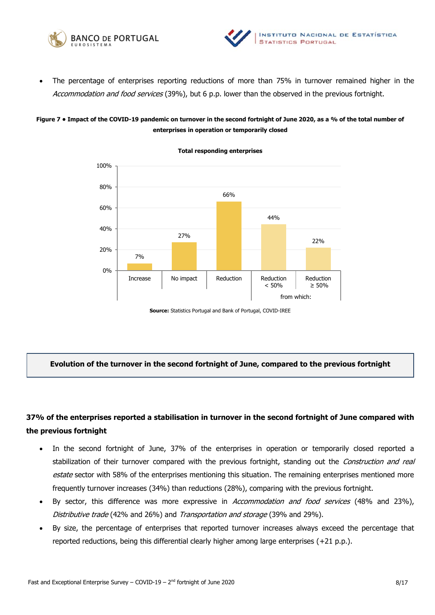



 The percentage of enterprises reporting reductions of more than 75% in turnover remained higher in the Accommodation and food services (39%), but 6 p.p. lower than the observed in the previous fortnight.

## **Figure 7 • Impact of the COVID-19 pandemic on turnover in the second fortnight of June 2020, as a % of the total number of enterprises in operation or temporarily closed**



**Total responding enterprises** 

**Source:** Statistics Portugal and Bank of Portugal, COVID-IREE

## **Evolution of the turnover in the second fortnight of June, compared to the previous fortnight**

# **37% of the enterprises reported a stabilisation in turnover in the second fortnight of June compared with the previous fortnight**

- In the second fortnight of June, 37% of the enterprises in operation or temporarily closed reported a stabilization of their turnover compared with the previous fortnight, standing out the Construction and real estate sector with 58% of the enterprises mentioning this situation. The remaining enterprises mentioned more frequently turnover increases (34%) than reductions (28%), comparing with the previous fortnight.
- By sector, this difference was more expressive in *Accommodation and food services* (48% and 23%), Distributive trade (42% and 26%) and Transportation and storage (39% and 29%).
- By size, the percentage of enterprises that reported turnover increases always exceed the percentage that reported reductions, being this differential clearly higher among large enterprises (+21 p.p.).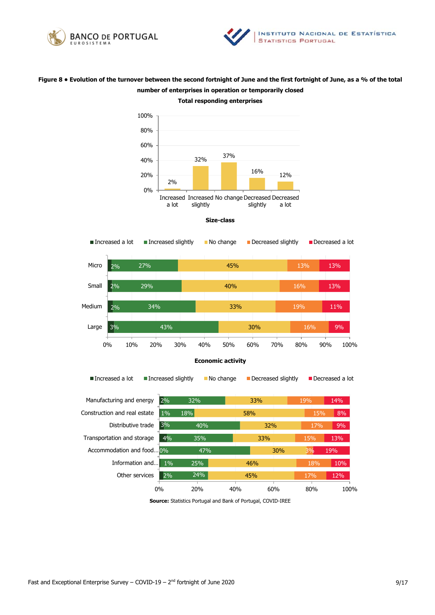



# **Figure 8 • Evolution of the turnover between the second fortnight of June and the first fortnight of June, as a % of the total number of enterprises in operation or temporarily closed Total responding enterprises**



#### **Size-class**



**Source:** Statistics Portugal and Bank of Portugal, COVID-IREE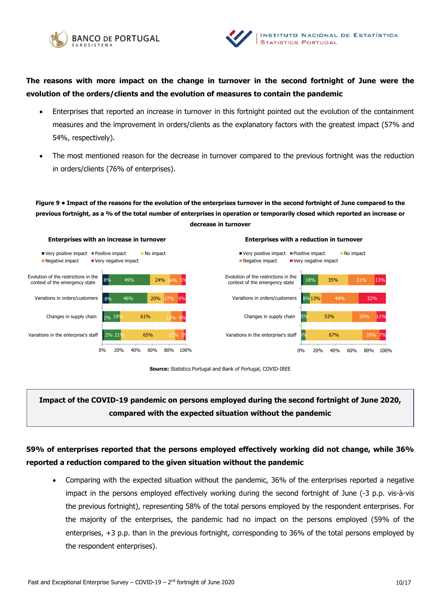



**The reasons with more impact on the change in turnover in the second fortnight of June were the evolution of the orders/clients and the evolution of measures to contain the pandemic** 

- Enterprises that reported an increase in turnover in this fortnight pointed out the evolution of the containment measures and the improvement in orders/clients as the explanatory factors with the greatest impact (57% and 54%, respectively).
- The most mentioned reason for the decrease in turnover compared to the previous fortnight was the reduction in orders/clients (76% of enterprises).

**Figure 9 • Impact of the reasons for the evolution of the enterprises turnover in the second fortnight of June compared to the previous fortnight, as a % of the total number of enterprises in operation or temporarily closed which reported an increase or decrease in turnover**





# **Impact of the COVID-19 pandemic on persons employed during the second fortnight of June 2020, compared with the expected situation without the pandemic**

# **59% of enterprises reported that the persons employed effectively working did not change, while 36% reported a reduction compared to the given situation without the pandemic**

 Comparing with the expected situation without the pandemic, 36% of the enterprises reported a negative impact in the persons employed effectively working during the second fortnight of June (-3 p.p. vis-à-vis the previous fortnight), representing 58% of the total persons employed by the respondent enterprises. For the majority of the enterprises, the pandemic had no impact on the persons employed (59% of the enterprises, +3 p.p. than in the previous fortnight, corresponding to 36% of the total persons employed by the respondent enterprises).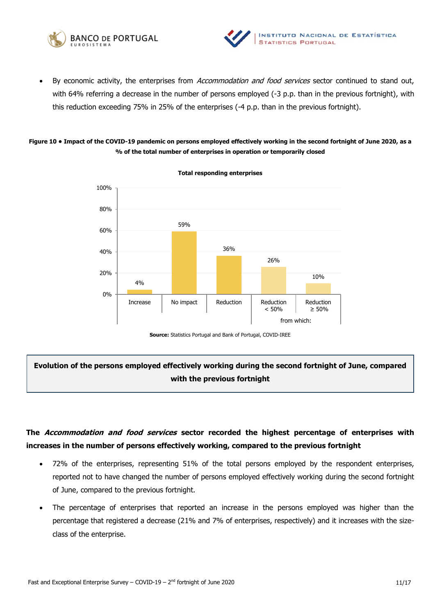



By economic activity, the enterprises from Accommodation and food services sector continued to stand out, with 64% referring a decrease in the number of persons employed (-3 p.p. than in the previous fortnight), with this reduction exceeding 75% in 25% of the enterprises (-4 p.p. than in the previous fortnight).

## **Figure 10 • Impact of the COVID-19 pandemic on persons employed effectively working in the second fortnight of June 2020, as a % of the total number of enterprises in operation or temporarily closed**



**Total responding enterprises** 

**Source:** Statistics Portugal and Bank of Portugal, COVID-IREE

# **Evolution of the persons employed effectively working during the second fortnight of June, compared with the previous fortnight**

# **The Accommodation and food services sector recorded the highest percentage of enterprises with increases in the number of persons effectively working, compared to the previous fortnight**

- 72% of the enterprises, representing 51% of the total persons employed by the respondent enterprises, reported not to have changed the number of persons employed effectively working during the second fortnight of June, compared to the previous fortnight.
- The percentage of enterprises that reported an increase in the persons employed was higher than the percentage that registered a decrease (21% and 7% of enterprises, respectively) and it increases with the sizeclass of the enterprise.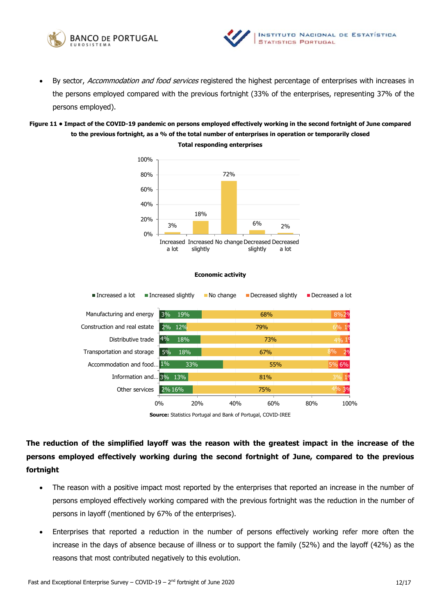



By sector, Accommodation and food services registered the highest percentage of enterprises with increases in the persons employed compared with the previous fortnight (33% of the enterprises, representing 37% of the persons employed).

# **Figure 11 • Impact of the COVID-19 pandemic on persons employed effectively working in the second fortnight of June compared to the previous fortnight, as a % of the total number of enterprises in operation or temporarily closed Total responding enterprises**



#### **Economic activity**



**Source:** Statistics Portugal and Bank of Portugal, COVID-IREE

**The reduction of the simplified layoff was the reason with the greatest impact in the increase of the persons employed effectively working during the second fortnight of June, compared to the previous fortnight** 

- The reason with a positive impact most reported by the enterprises that reported an increase in the number of persons employed effectively working compared with the previous fortnight was the reduction in the number of persons in layoff (mentioned by 67% of the enterprises).
- Enterprises that reported a reduction in the number of persons effectively working refer more often the increase in the days of absence because of illness or to support the family (52%) and the layoff (42%) as the reasons that most contributed negatively to this evolution.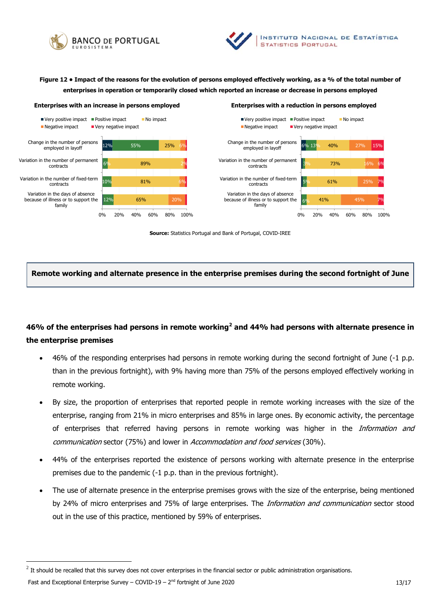



**Figure 12 • Impact of the reasons for the evolution of persons employed effectively working, as a % of the total number of enterprises in operation or temporarily closed which reported an increase or decrease in persons employed**





**Source:** Statistics Portugal and Bank of Portugal, COVID-IREE

**Remote working and alternate presence in the enterprise premises during the second fortnight of June**

# **46% of the enterprises had persons in remote working<sup>2</sup> and 44% had persons with alternate presence in the enterprise premises**

- 46% of the responding enterprises had persons in remote working during the second fortnight of June (-1 p.p. than in the previous fortnight), with 9% having more than 75% of the persons employed effectively working in remote working.
- By size, the proportion of enterprises that reported people in remote working increases with the size of the enterprise, ranging from 21% in micro enterprises and 85% in large ones. By economic activity, the percentage of enterprises that referred having persons in remote working was higher in the *Information and* communication sector (75%) and lower in Accommodation and food services (30%).
- 44% of the enterprises reported the existence of persons working with alternate presence in the enterprise premises due to the pandemic (-1 p.p. than in the previous fortnight).
- The use of alternate presence in the enterprise premises grows with the size of the enterprise, being mentioned by 24% of micro enterprises and 75% of large enterprises. The *Information and communication* sector stood out in the use of this practice, mentioned by 59% of enterprises.

 $^2$  It should be recalled that this survey does not cover enterprises in the financial sector or public administration organisations.

Fast and Exceptional Enterprise Survey – COVID-19 –  $2^{nd}$  fortnight of June 2020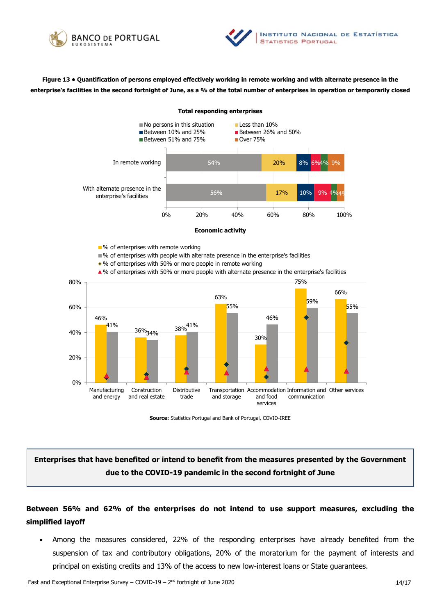



**Figure 13 • Quantification of persons employed effectively working in remote working and with alternate presence in the enterprise's facilities in the second fortnight of June, as a % of the total number of enterprises in operation or temporarily closed** 

**Total responding enterprises** 





**Source:** Statistics Portugal and Bank of Portugal, COVID-IREE

**Enterprises that have benefited or intend to benefit from the measures presented by the Government due to the COVID-19 pandemic in the second fortnight of June**

# **Between 56% and 62% of the enterprises do not intend to use support measures, excluding the simplified layoff**

 Among the measures considered, 22% of the responding enterprises have already benefited from the suspension of tax and contributory obligations, 20% of the moratorium for the payment of interests and principal on existing credits and 13% of the access to new low-interest loans or State guarantees.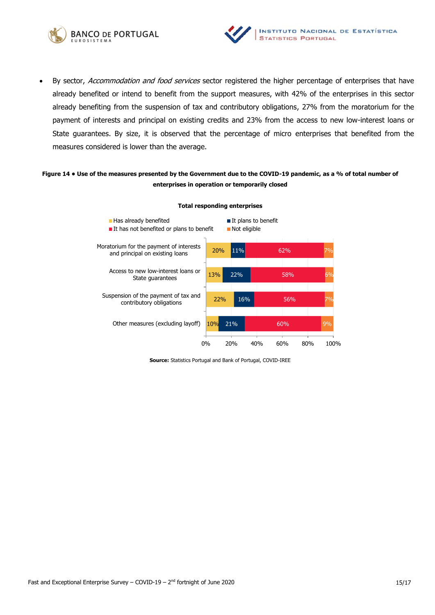



By sector, Accommodation and food services sector registered the higher percentage of enterprises that have already benefited or intend to benefit from the support measures, with 42% of the enterprises in this sector already benefiting from the suspension of tax and contributory obligations, 27% from the moratorium for the payment of interests and principal on existing credits and 23% from the access to new low-interest loans or State guarantees. By size, it is observed that the percentage of micro enterprises that benefited from the measures considered is lower than the average.

## **Figure 14 • Use of the measures presented by the Government due to the COVID-19 pandemic, as a % of total number of enterprises in operation or temporarily closed**



#### **Total responding enterprises**

**Source:** Statistics Portugal and Bank of Portugal, COVID-IREE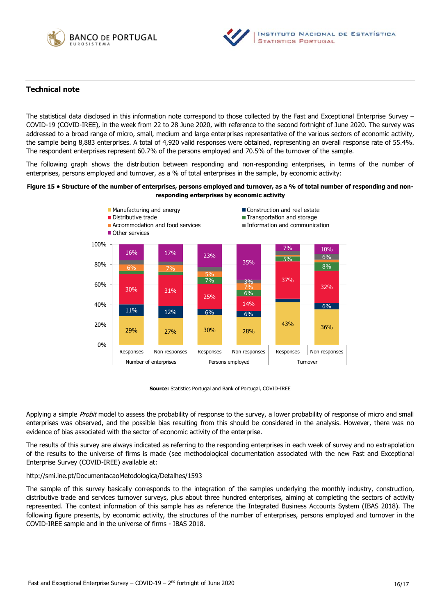



## **Technical note**

The statistical data disclosed in this information note correspond to those collected by the Fast and Exceptional Enterprise Survey – COVID-19 (COVID-IREE), in the week from 22 to 28 June 2020, with reference to the second fortnight of June 2020. The survey was addressed to a broad range of micro, small, medium and large enterprises representative of the various sectors of economic activity, the sample being 8,883 enterprises. A total of 4,920 valid responses were obtained, representing an overall response rate of 55.4%. The respondent enterprises represent 60.7% of the persons employed and 70.5% of the turnover of the sample.

The following graph shows the distribution between responding and non-responding enterprises, in terms of the number of enterprises, persons employed and turnover, as a % of total enterprises in the sample, by economic activity:

#### **Figure 15 • Structure of the number of enterprises, persons employed and turnover, as a % of total number of responding and nonresponding enterprises by economic activity**



**Source:** Statistics Portugal and Bank of Portugal, COVID-IREE

Applying a simple *Probit* model to assess the probability of response to the survey, a lower probability of response of micro and small enterprises was observed, and the possible bias resulting from this should be considered in the analysis. However, there was no evidence of bias associated with the sector of economic activity of the enterprise.

The results of this survey are always indicated as referring to the responding enterprises in each week of survey and no extrapolation of the results to the universe of firms is made (see methodological documentation associated with the new Fast and Exceptional Enterprise Survey (COVID-IREE) available at:

### <http://smi.ine.pt/DocumentacaoMetodologica/Detalhes/1593>

The sample of this survey basically corresponds to the integration of the samples underlying the monthly industry, construction, distributive trade and services turnover surveys, plus about three hundred enterprises, aiming at completing the sectors of activity represented. The context information of this sample has as reference the Integrated Business Accounts System (IBAS 2018). The following figure presents, by economic activity, the structures of the number of enterprises, persons employed and turnover in the COVID-IREE sample and in the universe of firms - IBAS 2018.